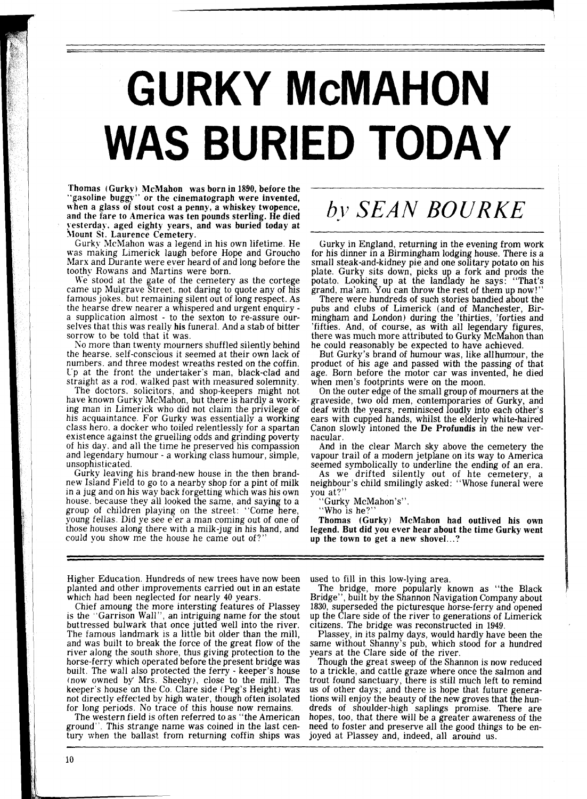## **GURKY McMAHON WAS BURIED TODAY**

Thomas ( Gurky) McMahon was born in 1890, before the "gasoline buggy" or the cinematograph were invented, **<sup>M</sup>**hen a glass of stout cost a penny, a whiskey twopence, and the fare to America was ten pounds sterling. He died yesterday, aged eighty years, and was buried today at Mount **St.** Laurence Cemetery.

Gurky McMahon was a legend in his own lifetime. He was making Limerick laugh before Hope and Groucho Marx and Durante were ever heard of and long before the toothy Rowans and Martins were born.

We stood at the gate of the cemetery as the cortege came up Mulgrave Street. not daring to quote any of his famous jokes. but remaining silent out of long respect. As the hearse drew nearer a whispered and urgent enquiry - a supplication almost - to the sexton to re-assure ourselves that this was really his funeral. And a stab of bitter sorrow to be told that it was.

No more than twenty mourners shuffled silently behind the hearse. self-conscious it seemed at their own lack of numbers. and three modest wreaths rested on the coffin. Vp at the front the undertaker's man, black-clad and straight as a rod, walked past with measured solemnity.

The doctors, solicitors, and shop-keepers might not have known Gurky McMahon, but there is hardly a working man in Limerick who did not claim the privilege of his acquaintance. For Gurky was essentially a working class hero, a docker who toiled relentlessly for a spartan of his day. and all the time he preserved his compassion and legendary humour - a working class humour, simple, unsophisticated.

Gurky leaving his brand-new house in the then brandnew Island Field to go to a nearby shop for a pint of milk in a jug and on his way back forgetting which was his own house. because they all looked the same, and saying to a group of children playing on the street: "Come here, young fellas. Did ye see e'er a man coming out of one of those houses along there with a milk-jug in his hand, and could you show me the house he came out of?

## *by SEAN BOURKE*

Gurky in England, returning in the evening from work for his dinner in a Birmingham lodging house. There is a small steak-and-kidney pie and one solitary potato on his plate. Gurky sits down, picks up a fork and prods the potato. Looking up at the landlady he says: "That's grand, ma'am. You can throw the rest of them up now!"

There were hundreds of such stories bandied about the pubs and clubs of Limerick (and of Manchester, Birmingham and London) during the 'thirties, 'forties and 'fifties. And, of course, as with all legendary figures, there was much more attributed to Gurky McMahon than he could reasonably be expected to have achieved.

But Gurky's brand of humour was, like allhumour, the product of his age and passed with the passing of that age. Born before the motor car was invented, he died when men's footprints were on the moon.

On the outer edge of the small group of mourners at the graveside, two old men, contemporaries of Gurky, and deaf with the years, reminisced loudly into each other's ears with cupped hands, whilst the elderly white-haired Canon slowly intoned the De Profundis in the new vernacular.

And in the clear March sky above the cemetery the vapour trail of a modern jetplane on its way to America seemed symbolically to underline the ending of an era.

As we drifted silently out of hte cemetery, a neighbour's child smilingly asked: "Whose funeral were you at?"

"Gurky McMahon's".

"Who is he?"

Thomas (Gurky) McMahon had outlived his own legend. But did you ever hear about the time Gurky went up the town to get a new shovel...?

Higher Education. Hundreds of new trees have now been planted and other improvements carried out in an estate which had been neglected for nearly 40 years.

Chief amoung the more intersting features of Plassey is the "Garrison Wall", an intriguing name for the stout buttressed bulwark that once jutted well into the river. The famous landmark is a little bit older than the mill, and was built to break the force of the great flow of the river along the south shore, thus giving protection to the horse-ferry which operated before the present bridge was built. The wall also protected the ferry - keeper's house (now owned by Mrs. Sheehy), close to the mill. The keeper's house an the Co. Clare side (Peg's Height) was not directly effected by high water, though often isolated for long periods. No trace of this house now remains.

The western field is often referred to as "the American ground". This strange name was coined in the last century when the ballast from returning coffin ships was used to fill in this low-lying area.

The bridge, more popularly known as "the Black Bridge", built by the Shannon Navigation Company about 1830, superseded the picturesque horse-ferry and opened up the Clare side of the river to generations of Limerick citizens. The bridge was reconstructed in 1949.

Plassey, in its palmy days, would hardly have been the same without Shanny's pub, which stood for a hundred years at the Clare side of the river.

Though the great sweep of the Shannon is now reduced to a trickle, and cattle graze where once the salmon and trout found sanctuary, there is still much left to remind us of other days; and there is hope that future generations will enjoy the beauty of the new groves that the hundreds of shoulder-high saplings promise. There are hopes, too, that there will be a greater awareness of the need to foster and preserve all the good things to be enjoyed at Plassey and, indeed, all around us.